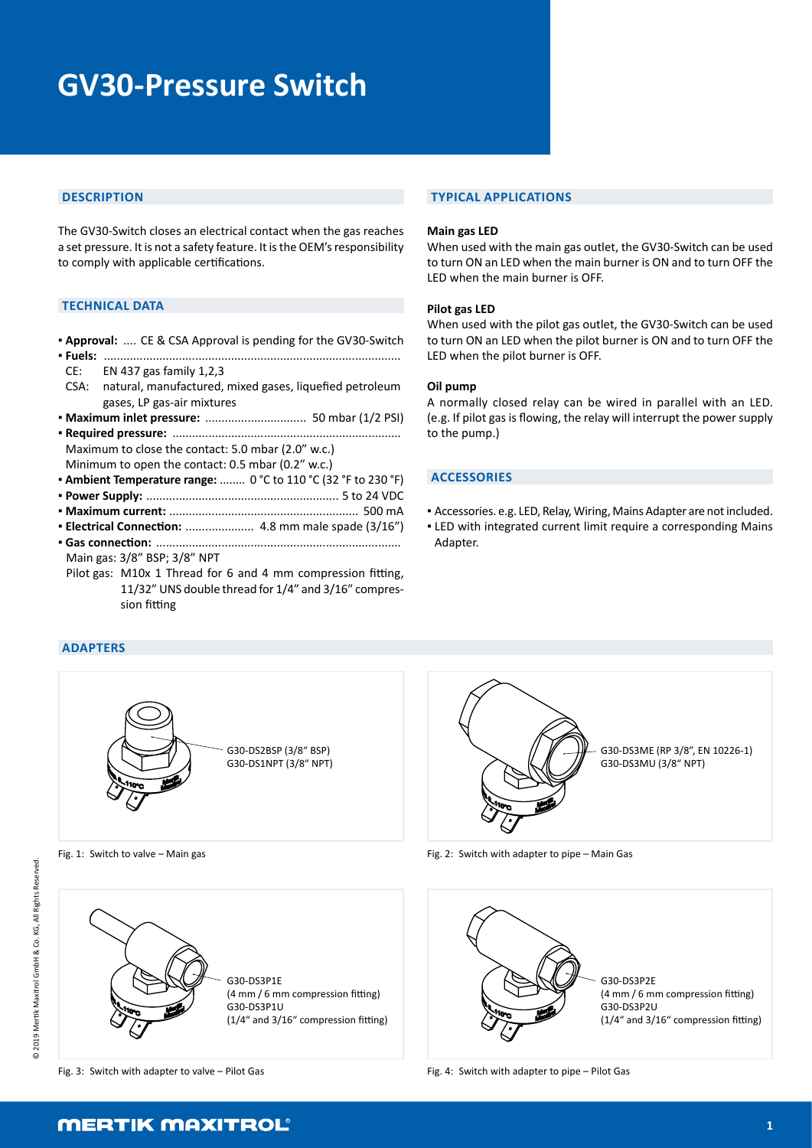# **GV30-Pressure Switch**

## **DESCRIPTION**

The GV30-Switch closes an electrical contact when the gas reaches a set pressure. It is not a safety feature. It is the OEM's responsibility to comply with applicable certifications.

# **TECHNICAL DATA**

- **Approval:** .... CE & CSA Approval is pending for the GV30-Switch
- **Fuels:** ........................................................................................... CE: EN 437 gas family 1,2,3 CSA: natural, manufactured, mixed gases, liquefied petroleum
- gases, LP gas-air mixtures
- **Maximum inlet pressure:** ............................... 50 mbar (1/2 PSI)
- **Required pressure:** ...................................................................... Maximum to close the contact: 5.0 mbar (2.0" w.c.) Minimum to open the contact: 0.5 mbar (0.2" w.c.)
- **Ambient Temperature range:** ........ 0 °C to 110 °C (32 °F to 230 °F)
- **Power Supply:** ........................................................... 5 to 24 VDC
- **Maximum current:** .......................................................... 500 mA
- **Electrical Connection:** ..................... 4.8 mm male spade (3/16") **▪ Gas connection:** ...........................................................................
- Main gas: 3/8" BSP; 3/8" NPT
- Pilot gas: M10x 1 Thread for 6 and 4 mm compression fitting, 11/32" UNS double thread for 1/4" and 3/16" compression fitting

## **TYPICAL APPLICATIONS**

#### **Main gas LED**

When used with the main gas outlet, the GV30-Switch can be used to turn ON an LED when the main burner is ON and to turn OFF the LED when the main burner is OFF.

#### **Pilot gas LED**

When used with the pilot gas outlet, the GV30-Switch can be used to turn ON an LED when the pilot burner is ON and to turn OFF the LED when the pilot burner is OFF.

#### **Oil pump**

A normally closed relay can be wired in parallel with an LED. (e.g. If pilot gas is flowing, the relay will interrupt the power supply to the pump.)

#### **ACCESSORIES**

- Accessories. e.g. LED, Relay, Wiring, Mains Adapter are not included.
- **.** LED with integrated current limit require a corresponding Mains Adapter.



Fig. 1: Switch to valve – Main gas



G30-DS3ME (RP 3/8", EN 10226-1) G30-DS3MU (3/8" NPT)

Fig. 2: Switch with adapter to pipe – Main Gas



Fig. 4: Switch with adapter to pipe – Pilot Gas

# **MERTIK MAXITROL**

Fig. 3: Switch with adapter to valve – Pilot Gas